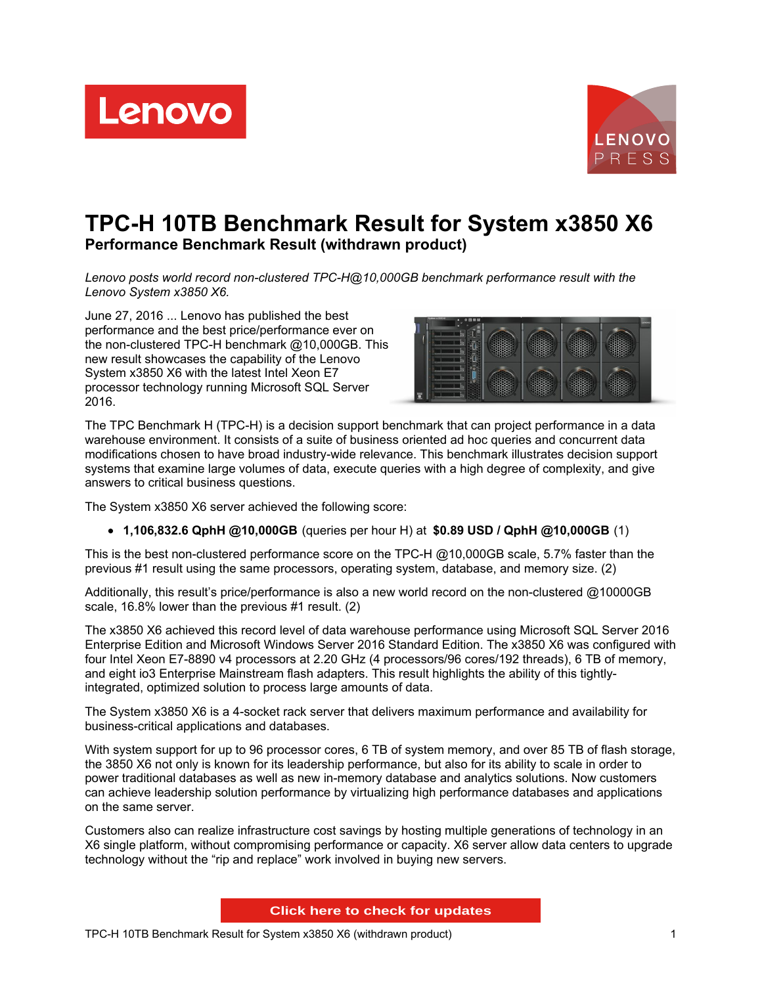Lenovo



# **TPC-H 10TB Benchmark Result for System x3850 X6 Performance Benchmark Result (withdrawn product)**

*Lenovo posts world record non-clustered TPC-H@10,000GB benchmark performance result with the Lenovo System x3850 X6.*

June 27, 2016 ... Lenovo has published the best performance and the best price/performance ever on the non-clustered TPC-H benchmark @10,000GB. This new result showcases the capability of the Lenovo System x3850 X6 with the latest Intel Xeon E7 processor technology running Microsoft SQL Server 2016.



The TPC Benchmark H (TPC-H) is a decision support benchmark that can project performance in a data warehouse environment. It consists of a suite of business oriented ad hoc queries and concurrent data modifications chosen to have broad industry-wide relevance. This benchmark illustrates decision support systems that examine large volumes of data, execute queries with a high degree of complexity, and give answers to critical business questions.

The System x3850 X6 server achieved the following score:

**1,106,832.6 QphH @10,000GB** (queries per hour H) at **\$0.89 USD / QphH @10,000GB** (1)

This is the best non-clustered performance score on the TPC-H @10,000GB scale, 5.7% faster than the previous #1 result using the same processors, operating system, database, and memory size. (2)

Additionally, this result's price/performance is also a new world record on the non-clustered @10000GB scale, 16.8% lower than the previous #1 result. (2)

The x3850 X6 achieved this record level of data warehouse performance using Microsoft SQL Server 2016 Enterprise Edition and Microsoft Windows Server 2016 Standard Edition. The x3850 X6 was configured with four Intel Xeon E7-8890 v4 processors at 2.20 GHz (4 processors/96 cores/192 threads), 6 TB of memory, and eight io3 Enterprise Mainstream flash adapters. This result highlights the ability of this tightlyintegrated, optimized solution to process large amounts of data.

The System x3850 X6 is a 4-socket rack server that delivers maximum performance and availability for business-critical applications and databases.

With system support for up to 96 processor cores, 6 TB of system memory, and over 85 TB of flash storage, the 3850 X6 not only is known for its leadership performance, but also for its ability to scale in order to power traditional databases as well as new in-memory database and analytics solutions. Now customers can achieve leadership solution performance by virtualizing high performance databases and applications on the same server.

Customers also can realize infrastructure cost savings by hosting multiple generations of technology in an X6 single platform, without compromising performance or capacity. X6 server allow data centers to upgrade technology without the "rip and replace" work involved in buying new servers.

**Click here to check for updates**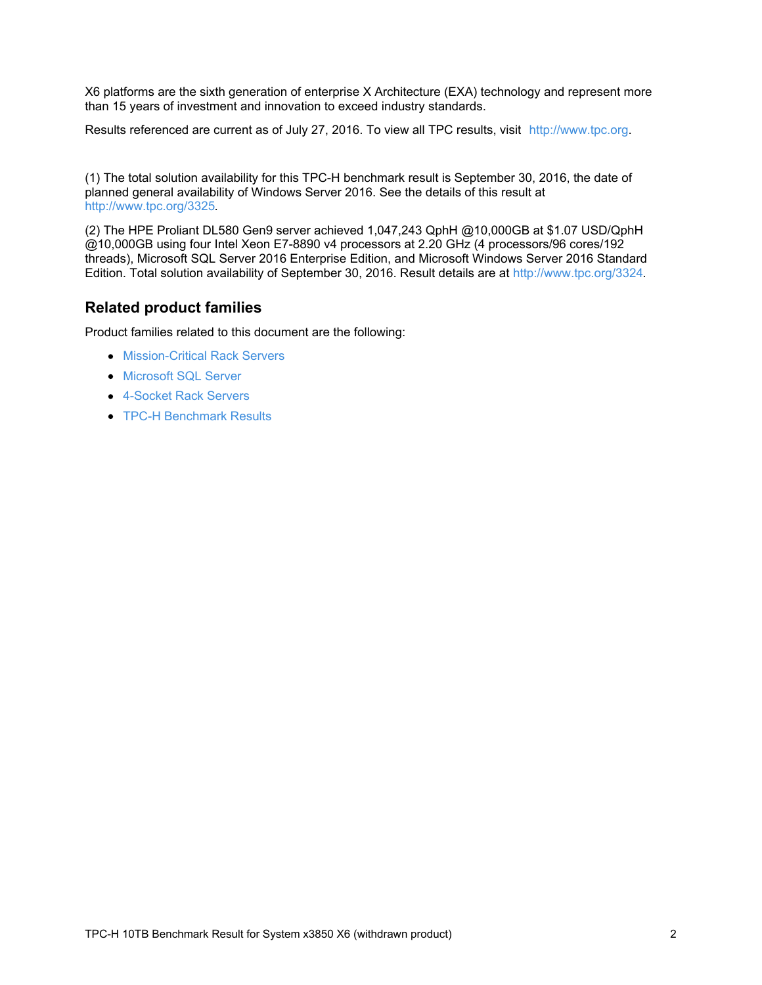X6 platforms are the sixth generation of enterprise X Architecture (EXA) technology and represent more than 15 years of investment and innovation to exceed industry standards.

Results referenced are current as of July 27, 2016. To view all TPC results, visit <http://www.tpc.org>.

(1) The total solution availability for this TPC-H benchmark result is September 30, 2016, the date of planned general availability of Windows Server 2016. See the details of this result at <http://www.tpc.org/3325>.

(2) The HPE Proliant DL580 Gen9 server achieved 1,047,243 QphH @10,000GB at \$1.07 USD/QphH @10,000GB using four Intel Xeon E7-8890 v4 processors at 2.20 GHz (4 processors/96 cores/192 threads), Microsoft SQL Server 2016 Enterprise Edition, and Microsoft Windows Server 2016 Standard Edition. Total solution availability of September 30, 2016. Result details are at <http://www.tpc.org/3324>.

### **Related product families**

Product families related to this document are the following:

- **[Mission-Critical](https://lenovopress.com/servers/mission-critical/rack) Rack Servers**
- **[Microsoft](https://lenovopress.com/software/database/sql) SQL Server**
- [4-Socket](https://lenovopress.com/servers/racks/4s) Rack Servers
- TPC-H [Benchmark](https://lenovopress.com/servers/benchmarks/tpc-h) Results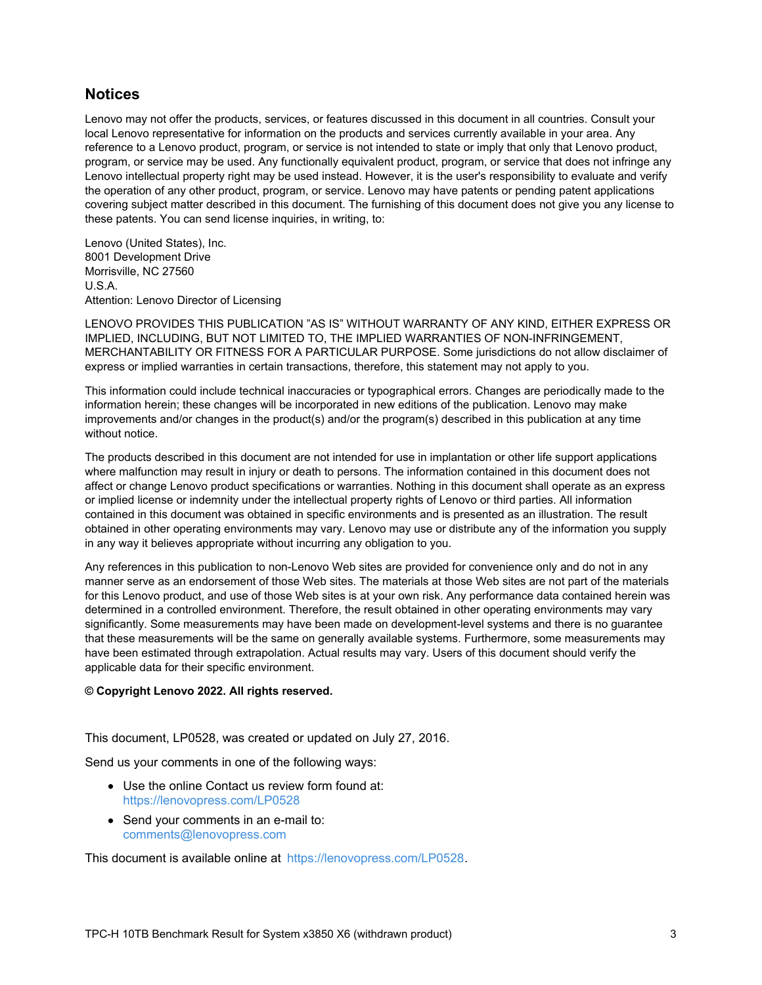#### **Notices**

Lenovo may not offer the products, services, or features discussed in this document in all countries. Consult your local Lenovo representative for information on the products and services currently available in your area. Any reference to a Lenovo product, program, or service is not intended to state or imply that only that Lenovo product, program, or service may be used. Any functionally equivalent product, program, or service that does not infringe any Lenovo intellectual property right may be used instead. However, it is the user's responsibility to evaluate and verify the operation of any other product, program, or service. Lenovo may have patents or pending patent applications covering subject matter described in this document. The furnishing of this document does not give you any license to these patents. You can send license inquiries, in writing, to:

Lenovo (United States), Inc. 8001 Development Drive Morrisville, NC 27560 U.S.A. Attention: Lenovo Director of Licensing

LENOVO PROVIDES THIS PUBLICATION "AS IS" WITHOUT WARRANTY OF ANY KIND, EITHER EXPRESS OR IMPLIED, INCLUDING, BUT NOT LIMITED TO, THE IMPLIED WARRANTIES OF NON-INFRINGEMENT, MERCHANTABILITY OR FITNESS FOR A PARTICULAR PURPOSE. Some jurisdictions do not allow disclaimer of express or implied warranties in certain transactions, therefore, this statement may not apply to you.

This information could include technical inaccuracies or typographical errors. Changes are periodically made to the information herein; these changes will be incorporated in new editions of the publication. Lenovo may make improvements and/or changes in the product(s) and/or the program(s) described in this publication at any time without notice.

The products described in this document are not intended for use in implantation or other life support applications where malfunction may result in injury or death to persons. The information contained in this document does not affect or change Lenovo product specifications or warranties. Nothing in this document shall operate as an express or implied license or indemnity under the intellectual property rights of Lenovo or third parties. All information contained in this document was obtained in specific environments and is presented as an illustration. The result obtained in other operating environments may vary. Lenovo may use or distribute any of the information you supply in any way it believes appropriate without incurring any obligation to you.

Any references in this publication to non-Lenovo Web sites are provided for convenience only and do not in any manner serve as an endorsement of those Web sites. The materials at those Web sites are not part of the materials for this Lenovo product, and use of those Web sites is at your own risk. Any performance data contained herein was determined in a controlled environment. Therefore, the result obtained in other operating environments may vary significantly. Some measurements may have been made on development-level systems and there is no guarantee that these measurements will be the same on generally available systems. Furthermore, some measurements may have been estimated through extrapolation. Actual results may vary. Users of this document should verify the applicable data for their specific environment.

#### **© Copyright Lenovo 2022. All rights reserved.**

This document, LP0528, was created or updated on July 27, 2016.

Send us your comments in one of the following ways:

- Use the online Contact us review form found at: <https://lenovopress.com/LP0528>
- Send your comments in an e-mail to: [comments@lenovopress.com](mailto:comments@lenovopress.com?subject=Feedback for LP0528)

This document is available online at <https://lenovopress.com/LP0528>.